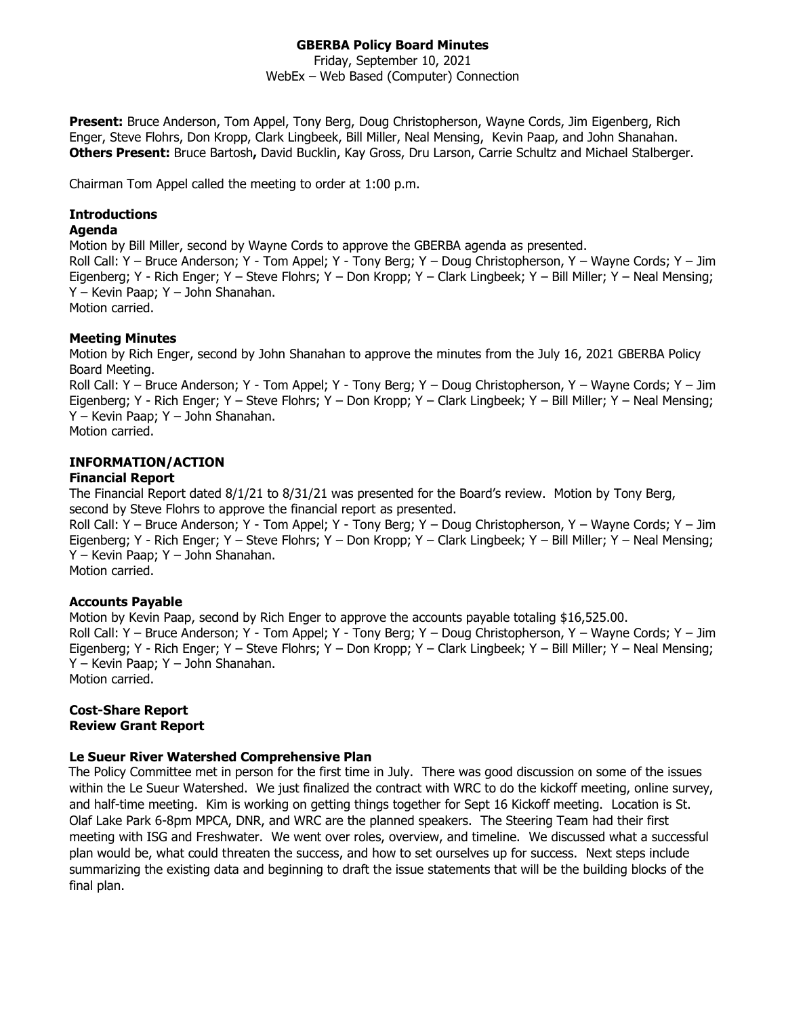# **GBERBA Policy Board Minutes**

Friday, September 10, 2021 WebEx – Web Based (Computer) Connection

**Present:** Bruce Anderson, Tom Appel, Tony Berg, Doug Christopherson, Wayne Cords, Jim Eigenberg, Rich Enger, Steve Flohrs, Don Kropp, Clark Lingbeek, Bill Miller, Neal Mensing, Kevin Paap, and John Shanahan. **Others Present:** Bruce Bartosh**,** David Bucklin, Kay Gross, Dru Larson, Carrie Schultz and Michael Stalberger.

Chairman Tom Appel called the meeting to order at 1:00 p.m.

# **Introductions**

#### **Agenda**

Motion by Bill Miller, second by Wayne Cords to approve the GBERBA agenda as presented. Roll Call: Y – Bruce Anderson; Y - Tom Appel; Y - Tony Berg; Y – Doug Christopherson, Y – Wayne Cords; Y – Jim Eigenberg; Y - Rich Enger; Y – Steve Flohrs; Y – Don Kropp; Y – Clark Lingbeek; Y – Bill Miller; Y – Neal Mensing; Y – Kevin Paap; Y – John Shanahan. Motion carried.

## **Meeting Minutes**

Motion by Rich Enger, second by John Shanahan to approve the minutes from the July 16, 2021 GBERBA Policy Board Meeting.

Roll Call: Y – Bruce Anderson; Y - Tom Appel; Y - Tony Berg; Y – Doug Christopherson, Y – Wayne Cords; Y – Jim Eigenberg; Y - Rich Enger; Y – Steve Flohrs; Y – Don Kropp; Y – Clark Lingbeek; Y – Bill Miller; Y – Neal Mensing; Y – Kevin Paap; Y – John Shanahan.

Motion carried.

# **INFORMATION/ACTION**

## **Financial Report**

The Financial Report dated 8/1/21 to 8/31/21 was presented for the Board's review. Motion by Tony Berg, second by Steve Flohrs to approve the financial report as presented.

Roll Call: Y – Bruce Anderson; Y - Tom Appel; Y - Tony Berg; Y – Doug Christopherson, Y – Wayne Cords; Y – Jim Eigenberg; Y - Rich Enger; Y – Steve Flohrs; Y – Don Kropp; Y – Clark Lingbeek; Y – Bill Miller; Y – Neal Mensing; Y – Kevin Paap; Y – John Shanahan.

Motion carried.

## **Accounts Payable**

Motion by Kevin Paap, second by Rich Enger to approve the accounts payable totaling \$16,525.00. Roll Call: Y – Bruce Anderson; Y - Tom Appel; Y - Tony Berg; Y – Doug Christopherson, Y – Wayne Cords; Y – Jim Eigenberg; Y - Rich Enger; Y – Steve Flohrs; Y – Don Kropp; Y – Clark Lingbeek; Y – Bill Miller; Y – Neal Mensing; Y – Kevin Paap; Y – John Shanahan. Motion carried.

## **Cost-Share Report Review Grant Report**

## **Le Sueur River Watershed Comprehensive Plan**

The Policy Committee met in person for the first time in July. There was good discussion on some of the issues within the Le Sueur Watershed. We just finalized the contract with WRC to do the kickoff meeting, online survey, and half-time meeting. Kim is working on getting things together for Sept 16 Kickoff meeting. Location is St. Olaf Lake Park 6-8pm MPCA, DNR, and WRC are the planned speakers. The Steering Team had their first meeting with ISG and Freshwater. We went over roles, overview, and timeline. We discussed what a successful plan would be, what could threaten the success, and how to set ourselves up for success. Next steps include summarizing the existing data and beginning to draft the issue statements that will be the building blocks of the final plan.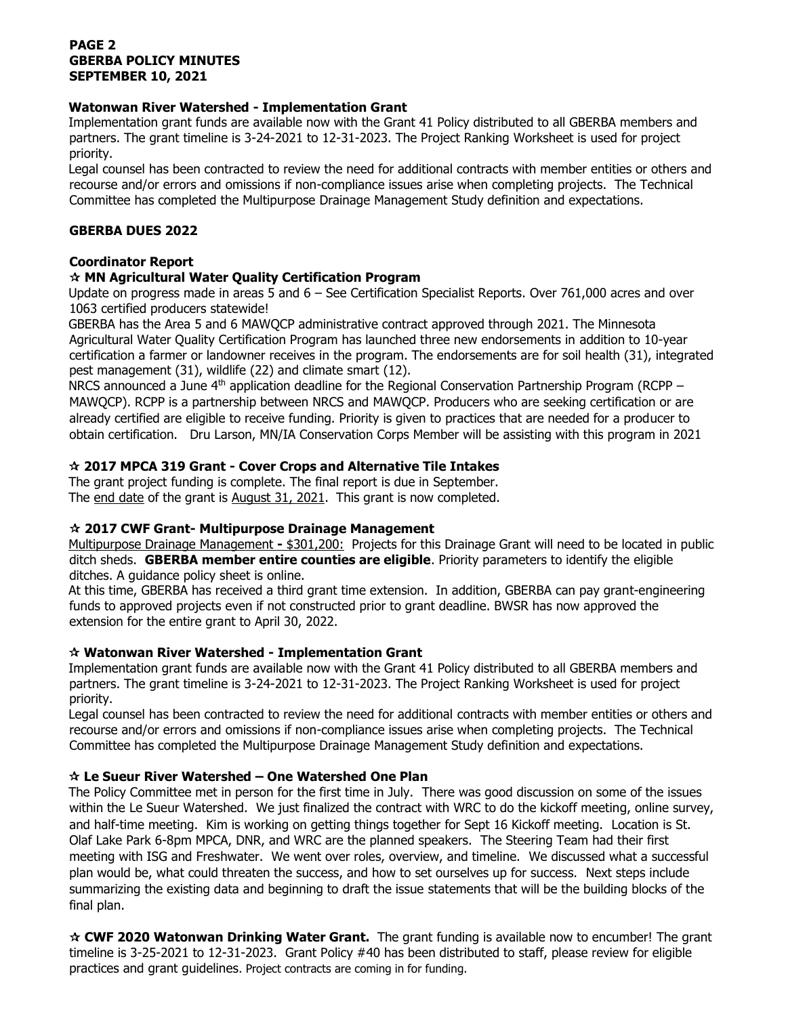## **PAGE 2 GBERBA POLICY MINUTES SEPTEMBER 10, 2021**

### **Watonwan River Watershed - Implementation Grant**

Implementation grant funds are available now with the Grant 41 Policy distributed to all GBERBA members and partners. The grant timeline is 3-24-2021 to 12-31-2023. The Project Ranking Worksheet is used for project priority.

Legal counsel has been contracted to review the need for additional contracts with member entities or others and recourse and/or errors and omissions if non-compliance issues arise when completing projects. The Technical Committee has completed the Multipurpose Drainage Management Study definition and expectations.

### **GBERBA DUES 2022**

## **Coordinator Report**

### **MN Agricultural Water Quality Certification Program**

Update on progress made in areas 5 and 6 – See Certification Specialist Reports. Over 761,000 acres and over 1063 certified producers statewide!

GBERBA has the Area 5 and 6 MAWQCP administrative contract approved through 2021. The Minnesota Agricultural Water Quality Certification Program has launched three new endorsements in addition to 10-year certification a farmer or landowner receives in the program. The endorsements are for soil health (31), integrated pest management (31), wildlife (22) and climate smart (12).

NRCS announced a June  $4<sup>th</sup>$  application deadline for the Regional Conservation Partnership Program (RCPP – MAWQCP). RCPP is a partnership between NRCS and MAWQCP. Producers who are seeking certification or are already certified are eligible to receive funding. Priority is given to practices that are needed for a producer to obtain certification. Dru Larson, MN/IA Conservation Corps Member will be assisting with this program in 2021

## **2017 MPCA 319 Grant - Cover Crops and Alternative Tile Intakes**

The grant project funding is complete. The final report is due in September. The end date of the grant is August 31, 2021.This grant is now completed.

#### **2017 CWF Grant- Multipurpose Drainage Management**

Multipurpose Drainage Management **-** \$301,200: Projects for this Drainage Grant will need to be located in public ditch sheds. **GBERBA member entire counties are eligible**. Priority parameters to identify the eligible ditches. A guidance policy sheet is online.

At this time, GBERBA has received a third grant time extension. In addition, GBERBA can pay grant-engineering funds to approved projects even if not constructed prior to grant deadline. BWSR has now approved the extension for the entire grant to April 30, 2022.

## **Watonwan River Watershed - Implementation Grant**

Implementation grant funds are available now with the Grant 41 Policy distributed to all GBERBA members and partners. The grant timeline is 3-24-2021 to 12-31-2023. The Project Ranking Worksheet is used for project priority.

Legal counsel has been contracted to review the need for additional contracts with member entities or others and recourse and/or errors and omissions if non-compliance issues arise when completing projects. The Technical Committee has completed the Multipurpose Drainage Management Study definition and expectations.

#### **Le Sueur River Watershed – One Watershed One Plan**

The Policy Committee met in person for the first time in July. There was good discussion on some of the issues within the Le Sueur Watershed. We just finalized the contract with WRC to do the kickoff meeting, online survey, and half-time meeting. Kim is working on getting things together for Sept 16 Kickoff meeting. Location is St. Olaf Lake Park 6-8pm MPCA, DNR, and WRC are the planned speakers. The Steering Team had their first meeting with ISG and Freshwater. We went over roles, overview, and timeline. We discussed what a successful plan would be, what could threaten the success, and how to set ourselves up for success. Next steps include summarizing the existing data and beginning to draft the issue statements that will be the building blocks of the final plan.

 **CWF 2020 Watonwan Drinking Water Grant.** The grant funding is available now to encumber! The grant timeline is 3-25-2021 to 12-31-2023. Grant Policy #40 has been distributed to staff, please review for eligible practices and grant guidelines. Project contracts are coming in for funding.